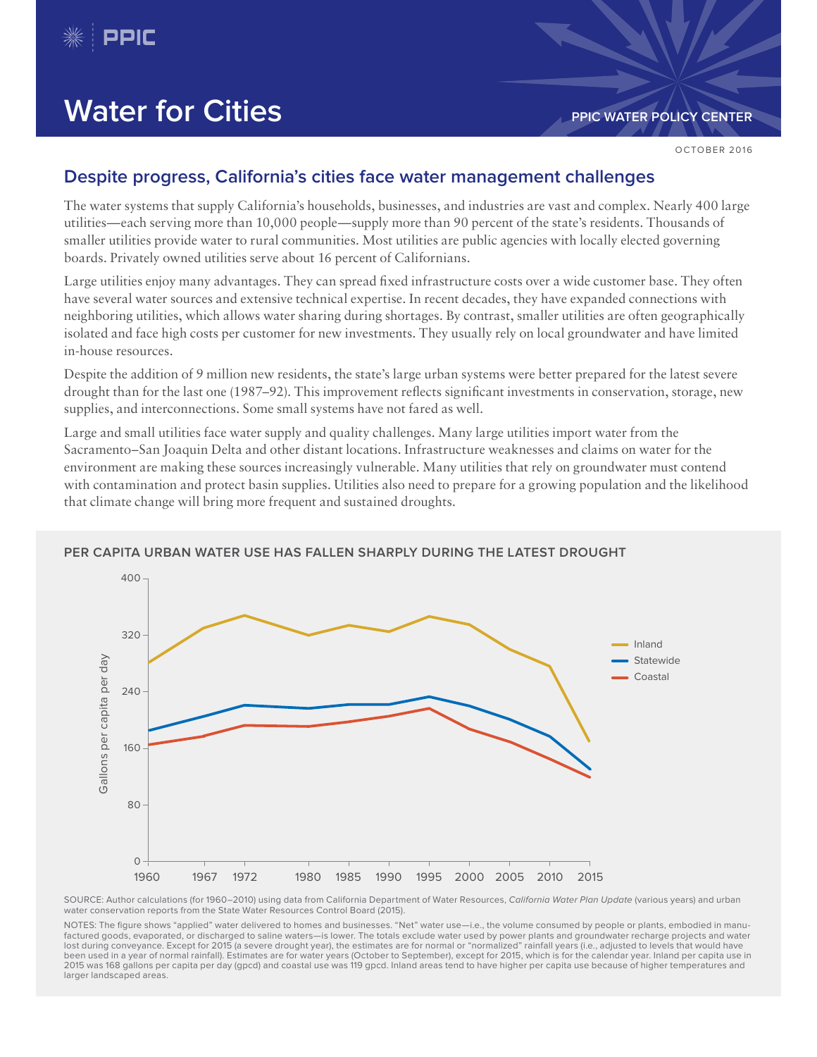

# **Water for Cities PDIC WATER POLICY CENTER**

OCTOBER 2016

### **Despite progress, California's cities face water management challenges**

The water systems that supply California's households, businesses, and industries are vast and complex. Nearly 400 large utilities—each serving more than 10,000 people—supply more than 90 percent of the state's residents. Thousands of smaller utilities provide water to rural communities. Most utilities are public agencies with locally elected governing boards. Privately owned utilities serve about 16 percent of Californians.

Large utilities enjoy many advantages. They can spread fixed infrastructure costs over a wide customer base. They often have several water sources and extensive technical expertise. In recent decades, they have expanded connections with neighboring utilities, which allows water sharing during shortages. By contrast, smaller utilities are often geographically isolated and face high costs per customer for new investments. They usually rely on local groundwater and have limited in-house resources.

Despite the addition of 9 million new residents, the state's large urban systems were better prepared for the latest severe drought than for the last one (1987–92). This improvement reflects significant investments in conservation, storage, new supplies, and interconnections. Some small systems have not fared as well.

Large and small utilities face water supply and quality challenges. Many large utilities import water from the Sacramento–San Joaquin Delta and other distant locations. Infrastructure weaknesses and claims on water for the environment are making these sources increasingly vulnerable. Many utilities that rely on groundwater must contend with contamination and protect basin supplies. Utilities also need to prepare for a growing population and the likelihood that climate change will bring more frequent and sustained droughts.



### **PER CAPITA URBAN WATER USE HAS FALLEN SHARPLY DURING THE LATEST DROUGHT**

SOURCE: Author calculations (for 1960–2010) using data from California Department of Water Resources, California Water Plan Update (various years) and urban water conservation reports from the State Water Resources Control Board (2015).

NOTES: The figure shows "applied" water delivered to homes and businesses. "Net" water use—i.e., the volume consumed by people or plants, embodied in manufactured goods, evaporated, or discharged to saline waters—is lower. The totals exclude water used by power plants and groundwater recharge projects and water lost during conveyance. Except for 2015 (a severe drought year), the estimates are for normal or "normalized" rainfall years (i.e., adjusted to levels that would have been used in a year of normal rainfall). Estimates are for water years (October to September), except for 2015, which is for the calendar year. Inland per capita use in 2015 was 168 gallons per capita per day (gpcd) and coastal use was 119 gpcd. Inland areas tend to have higher per capita use because of higher temperatures and larger landscaped areas.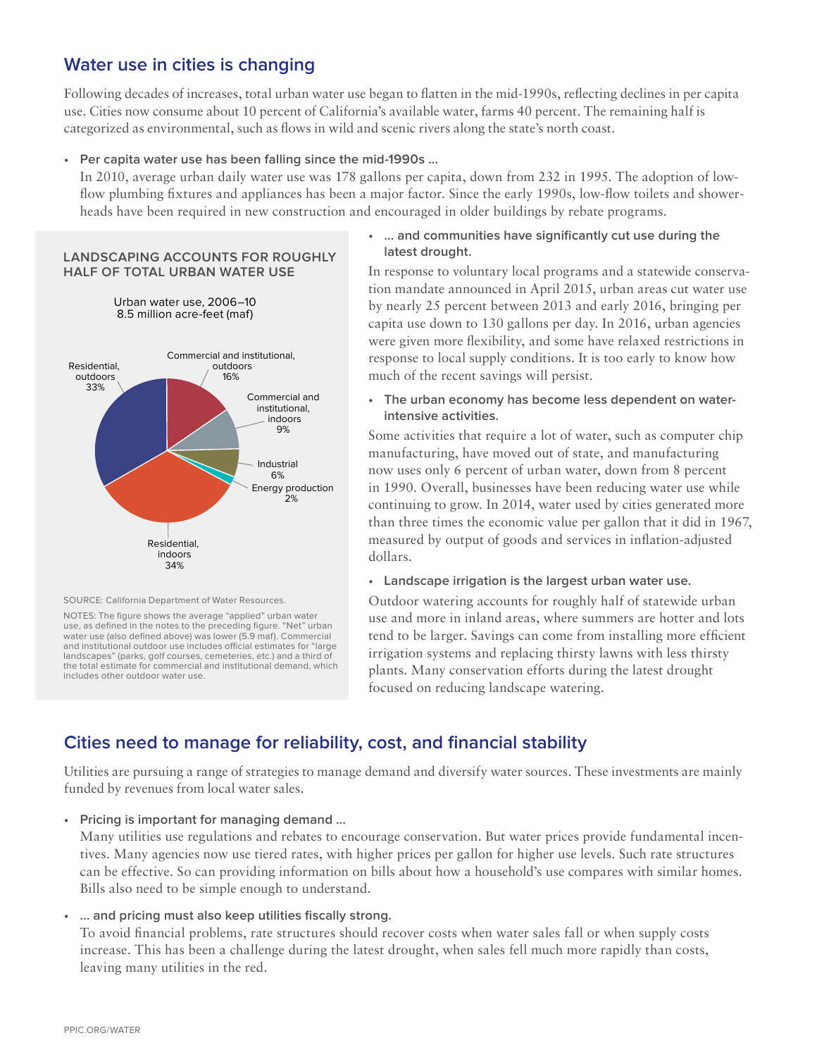## **Water use in cities is changing**

Following decades of increases, total urban water use began to flatten in the mid-1990s, reflecting declines in per capita use. Cities now consume about 10 percent of California's available water, farms 40 percent. The remaining half is categorized as environmental, such as flows in wild and scenic rivers along the state's north coast.

#### **• Per capita water use has been falling since the mid-1990s …**

In 2010, average urban daily water use was 178 gallons per capita, down from 232 in 1995. The adoption of lowflow plumbing fixtures and appliances has been a major factor. Since the early 1990s, low-flow toilets and showerheads have been required in new construction and encouraged in older buildings by rebate programs.

#### **LANDSCAPING ACCOUNTS FOR ROUGHLY HALF OF TOTAL URBAN WATER USE**

Urban water use, 2006–10 8.5 million acre-feet (maf)



SOURCE: California Department of Water Resources.

NOTES: The figure shows the average "applied" urban water use, as defined in the notes to the preceding figure. "Net" urban water use (also defined above) was lower (5.9 maf). Commercial and institutional outdoor use includes official estimates for "large landscapes" (parks, golf courses, cemeteries, etc.) and a third of the total estimate for commercial and institutional demand, which includes other outdoor water use.

### **• … and communities have significantly cut use during the latest drought.**

In response to voluntary local programs and a statewide conservation mandate announced in April 2015, urban areas cut water use by nearly 25 percent between 2013 and early 2016, bringing per capita use down to 130 gallons per day. In 2016, urban agencies were given more flexibility, and some have relaxed restrictions in response to local supply conditions. It is too early to know how much of the recent savings will persist.

**• The urban economy has become less dependent on waterintensive activities.**

Some activities that require a lot of water, such as computer chip manufacturing, have moved out of state, and manufacturing now uses only 6 percent of urban water, down from 8 percent in 1990. Overall, businesses have been reducing water use while continuing to grow. In 2014, water used by cities generated more than three times the economic value per gallon that it did in 1967, measured by output of goods and services in inflation-adjusted dollars.

### **• Landscape irrigation is the largest urban water use.**

Outdoor watering accounts for roughly half of statewide urban use and more in inland areas, where summers are hotter and lots tend to be larger. Savings can come from installing more efficient irrigation systems and replacing thirsty lawns with less thirsty plants. Many conservation efforts during the latest drought focused on reducing landscape watering.

### **Cities need to manage for reliability, cost, and financial stability**

Utilities are pursuing a range of strategies to manage demand and diversify water sources. These investments are mainly funded by revenues from local water sales.

### **• Pricing is important for managing demand …**

Many utilities use regulations and rebates to encourage conservation. But water prices provide fundamental incentives. Many agencies now use tiered rates, with higher prices per gallon for higher use levels. Such rate structures can be effective. So can providing information on bills about how a household's use compares with similar homes. Bills also need to be simple enough to understand.

### **• … and pricing must also keep utilities fiscally strong.**

To avoid financial problems, rate structures should recover costs when water sales fall or when supply costs increase. This has been a challenge during the latest drought, when sales fell much more rapidly than costs, leaving many utilities in the red.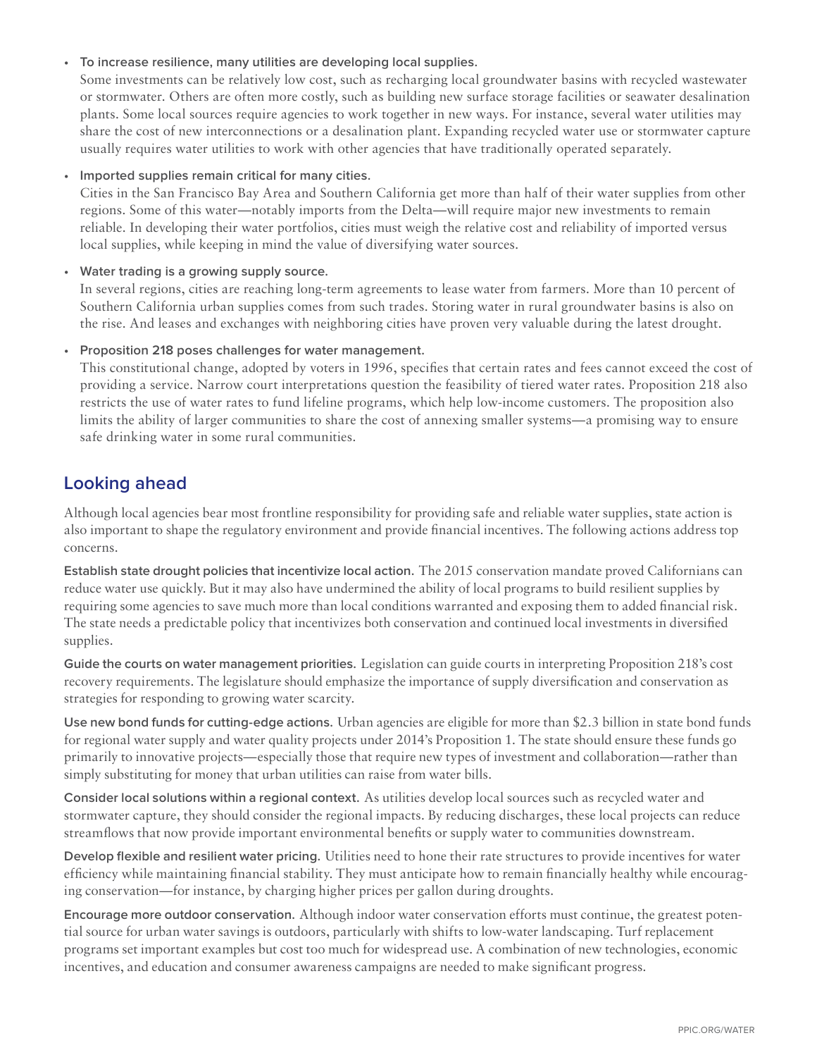### **• To increase resilience, many utilities are developing local supplies.**

Some investments can be relatively low cost, such as recharging local groundwater basins with recycled wastewater or stormwater. Others are often more costly, such as building new surface storage facilities or seawater desalination plants. Some local sources require agencies to work together in new ways. For instance, several water utilities may share the cost of new interconnections or a desalination plant. Expanding recycled water use or stormwater capture usually requires water utilities to work with other agencies that have traditionally operated separately.

### **• Imported supplies remain critical for many cities.**

Cities in the San Francisco Bay Area and Southern California get more than half of their water supplies from other regions. Some of this water—notably imports from the Delta—will require major new investments to remain reliable. In developing their water portfolios, cities must weigh the relative cost and reliability of imported versus local supplies, while keeping in mind the value of diversifying water sources.

### **• Water trading is a growing supply source.**

In several regions, cities are reaching long-term agreements to lease water from farmers. More than 10 percent of Southern California urban supplies comes from such trades. Storing water in rural groundwater basins is also on the rise. And leases and exchanges with neighboring cities have proven very valuable during the latest drought.

### **• Proposition 218 poses challenges for water management.**

This constitutional change, adopted by voters in 1996, specifies that certain rates and fees cannot exceed the cost of providing a service. Narrow court interpretations question the feasibility of tiered water rates. Proposition 218 also restricts the use of water rates to fund lifeline programs, which help low-income customers. The proposition also limits the ability of larger communities to share the cost of annexing smaller systems—a promising way to ensure safe drinking water in some rural communities.

### **Looking ahead**

Although local agencies bear most frontline responsibility for providing safe and reliable water supplies, state action is also important to shape the regulatory environment and provide financial incentives. The following actions address top concerns.

**Establish state drought policies that incentivize local action.** The 2015 conservation mandate proved Californians can reduce water use quickly. But it may also have undermined the ability of local programs to build resilient supplies by requiring some agencies to save much more than local conditions warranted and exposing them to added financial risk. The state needs a predictable policy that incentivizes both conservation and continued local investments in diversified supplies.

**Guide the courts on water management priorities.** Legislation can guide courts in interpreting Proposition 218's cost recovery requirements. The legislature should emphasize the importance of supply diversification and conservation as strategies for responding to growing water scarcity.

**Use new bond funds for cutting-edge actions.** Urban agencies are eligible for more than \$2.3 billion in state bond funds for regional water supply and water quality projects under 2014's Proposition 1. The state should ensure these funds go primarily to innovative projects—especially those that require new types of investment and collaboration—rather than simply substituting for money that urban utilities can raise from water bills.

**Consider local solutions within a regional context.** As utilities develop local sources such as recycled water and stormwater capture, they should consider the regional impacts. By reducing discharges, these local projects can reduce streamflows that now provide important environmental benefits or supply water to communities downstream.

**Develop flexible and resilient water pricing.** Utilities need to hone their rate structures to provide incentives for water efficiency while maintaining financial stability. They must anticipate how to remain financially healthy while encouraging conservation—for instance, by charging higher prices per gallon during droughts.

**Encourage more outdoor conservation.** Although indoor water conservation efforts must continue, the greatest potential source for urban water savings is outdoors, particularly with shifts to low-water landscaping. Turf replacement programs set important examples but cost too much for widespread use. A combination of new technologies, economic incentives, and education and consumer awareness campaigns are needed to make significant progress.